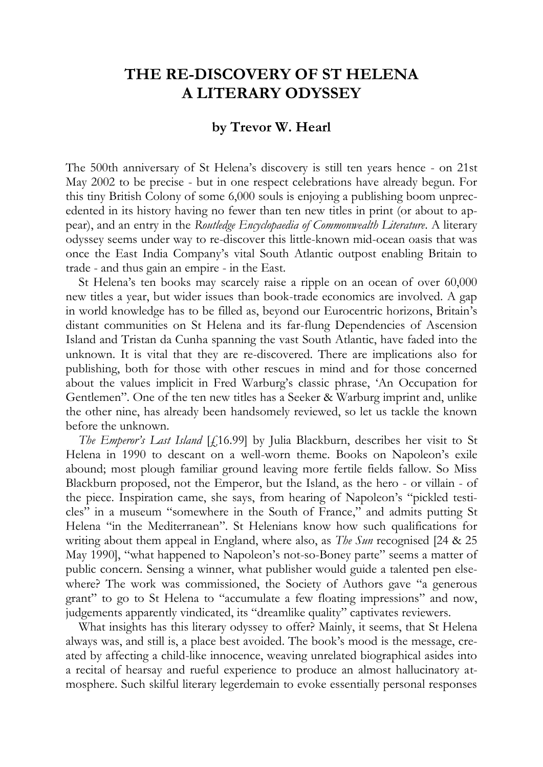## **THE RE-DISCOVERY OF ST HELENA A LITERARY ODYSSEY**

## **by Trevor W. Hearl**

The 500th anniversary of St Helena's discovery is still ten years hence - on 21st May 2002 to be precise - but in one respect celebrations have already begun. For this tiny British Colony of some 6,000 souls is enjoying a publishing boom unprecedented in its history having no fewer than ten new titles in print (or about to appear), and an entry in the *Routledge Encyclopaedia of Commonwealth Literature*. A literary odyssey seems under way to re-discover this little-known mid-ocean oasis that was once the East India Company's vital South Atlantic outpost enabling Britain to trade - and thus gain an empire - in the East.

St Helena's ten books may scarcely raise a ripple on an ocean of over 60,000 new titles a year, but wider issues than book-trade economics are involved. A gap in world knowledge has to be filled as, beyond our Eurocentric horizons, Britain's distant communities on St Helena and its far-flung Dependencies of Ascension Island and Tristan da Cunha spanning the vast South Atlantic, have faded into the unknown. It is vital that they are re-discovered. There are implications also for publishing, both for those with other rescues in mind and for those concerned about the values implicit in Fred Warburg's classic phrase, 'An Occupation for Gentlemen". One of the ten new titles has a Seeker & Warburg imprint and, unlike the other nine, has already been handsomely reviewed, so let us tackle the known before the unknown.

*The Emperor's Last Island* [£16.99] by Julia Blackburn, describes her visit to St Helena in 1990 to descant on a well-worn theme. Books on Napoleon's exile abound; most plough familiar ground leaving more fertile fields fallow. So Miss Blackburn proposed, not the Emperor, but the Island, as the hero - or villain - of the piece. Inspiration came, she says, from hearing of Napoleon's "pickled testicles" in a museum "somewhere in the South of France," and admits putting St Helena "in the Mediterranean". St Helenians know how such qualifications for writing about them appeal in England, where also, as *The Sun* recognised [24 & 25 May 1990], "what happened to Napoleon's not-so-Boney parte" seems a matter of public concern. Sensing a winner, what publisher would guide a talented pen elsewhere? The work was commissioned, the Society of Authors gave "a generous grant" to go to St Helena to "accumulate a few floating impressions" and now, judgements apparently vindicated, its "dreamlike quality" captivates reviewers.

What insights has this literary odyssey to offer? Mainly, it seems, that St Helena always was, and still is, a place best avoided. The book's mood is the message, created by affecting a child-like innocence, weaving unrelated biographical asides into a recital of hearsay and rueful experience to produce an almost hallucinatory atmosphere. Such skilful literary legerdemain to evoke essentially personal responses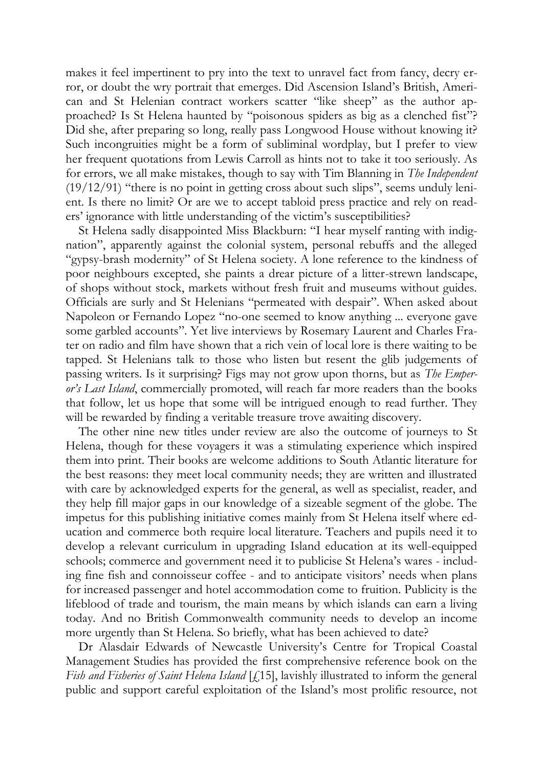makes it feel impertinent to pry into the text to unravel fact from fancy, decry error, or doubt the wry portrait that emerges. Did Ascension Island's British, American and St Helenian contract workers scatter "like sheep" as the author approached? Is St Helena haunted by "poisonous spiders as big as a clenched fist"? Did she, after preparing so long, really pass Longwood House without knowing it? Such incongruities might be a form of subliminal wordplay, but I prefer to view her frequent quotations from Lewis Carroll as hints not to take it too seriously. As for errors, we all make mistakes, though to say with Tim Blanning in *The Independent*  $(19/12/91)$  "there is no point in getting cross about such slips", seems unduly lenient. Is there no limit? Or are we to accept tabloid press practice and rely on readers' ignorance with little understanding of the victim's susceptibilities?

St Helena sadly disappointed Miss Blackburn: "I hear myself ranting with indignation", apparently against the colonial system, personal rebuffs and the alleged "gypsy-brash modernity" of St Helena society. A lone reference to the kindness of poor neighbours excepted, she paints a drear picture of a litter-strewn landscape, of shops without stock, markets without fresh fruit and museums without guides. Officials are surly and St Helenians "permeated with despair". When asked about Napoleon or Fernando Lopez "no-one seemed to know anything ... everyone gave some garbled accounts". Yet live interviews by Rosemary Laurent and Charles Frater on radio and film have shown that a rich vein of local lore is there waiting to be tapped. St Helenians talk to those who listen but resent the glib judgements of passing writers. Is it surprising? Figs may not grow upon thorns, but as *The Emperor's Last Island*, commercially promoted, will reach far more readers than the books that follow, let us hope that some will be intrigued enough to read further. They will be rewarded by finding a veritable treasure trove awaiting discovery.

The other nine new titles under review are also the outcome of journeys to St Helena, though for these voyagers it was a stimulating experience which inspired them into print. Their books are welcome additions to South Atlantic literature for the best reasons: they meet local community needs; they are written and illustrated with care by acknowledged experts for the general, as well as specialist, reader, and they help fill major gaps in our knowledge of a sizeable segment of the globe. The impetus for this publishing initiative comes mainly from St Helena itself where education and commerce both require local literature. Teachers and pupils need it to develop a relevant curriculum in upgrading Island education at its well-equipped schools; commerce and government need it to publicise St Helena's wares - including fine fish and connoisseur coffee - and to anticipate visitors' needs when plans for increased passenger and hotel accommodation come to fruition. Publicity is the lifeblood of trade and tourism, the main means by which islands can earn a living today. And no British Commonwealth community needs to develop an income more urgently than St Helena. So briefly, what has been achieved to date?

Dr Alasdair Edwards of Newcastle University's Centre for Tropical Coastal Management Studies has provided the first comprehensive reference book on the *Fish and Fisheries of Saint Helena Island* [£15], lavishly illustrated to inform the general public and support careful exploitation of the Island's most prolific resource, not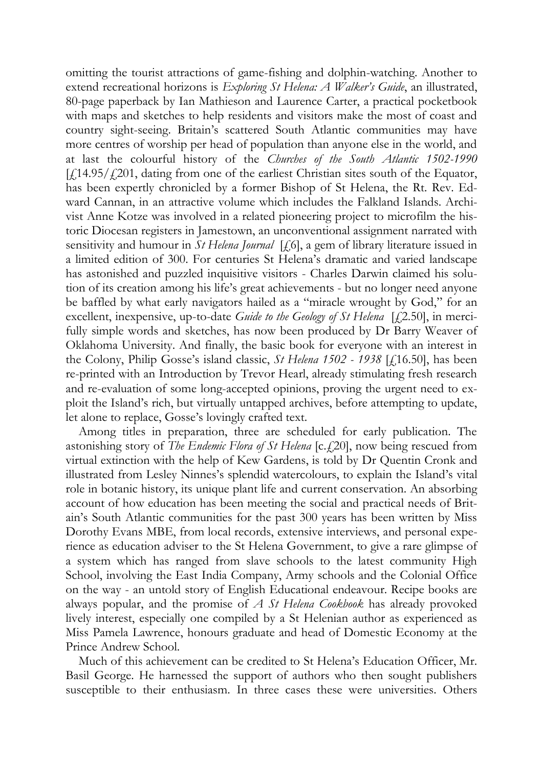omitting the tourist attractions of game-fishing and dolphin-watching. Another to extend recreational horizons is *Exploring St Helena: A Walker's Guide*, an illustrated, 80-page paperback by Ian Mathieson and Laurence Carter, a practical pocketbook with maps and sketches to help residents and visitors make the most of coast and country sight-seeing. Britain's scattered South Atlantic communities may have more centres of worship per head of population than anyone else in the world, and at last the colourful history of the *Churches of the South Atlantic 1502-1990*  $[f(14.95/\textit{f}/201, \text{ dating from one of the earliest Christian sites south of the Equator,})]$ has been expertly chronicled by a former Bishop of St Helena, the Rt. Rev. Edward Cannan, in an attractive volume which includes the Falkland Islands. Archivist Anne Kotze was involved in a related pioneering project to microfilm the historic Diocesan registers in Jamestown, an unconventional assignment narrated with sensitivity and humour in *St Helena Journal* [£6], a gem of library literature issued in a limited edition of 300. For centuries St Helena's dramatic and varied landscape has astonished and puzzled inquisitive visitors - Charles Darwin claimed his solution of its creation among his life's great achievements - but no longer need anyone be baffled by what early navigators hailed as a "miracle wrought by God," for an excellent, inexpensive, up-to-date *Guide to the Geology of St Helena* [£2.50], in mercifully simple words and sketches, has now been produced by Dr Barry Weaver of Oklahoma University. And finally, the basic book for everyone with an interest in the Colony, Philip Gosse's island classic, *St Helena 1502 - 1938* [£16.50], has been re-printed with an Introduction by Trevor Hearl, already stimulating fresh research and re-evaluation of some long-accepted opinions, proving the urgent need to exploit the Island's rich, but virtually untapped archives, before attempting to update, let alone to replace, Gosse's lovingly crafted text.

Among titles in preparation, three are scheduled for early publication. The astonishing story of *The Endemic Flora of St Helena* [c.£20], now being rescued from virtual extinction with the help of Kew Gardens, is told by Dr Quentin Cronk and illustrated from Lesley Ninnes's splendid watercolours, to explain the Island's vital role in botanic history, its unique plant life and current conservation. An absorbing account of how education has been meeting the social and practical needs of Britain's South Atlantic communities for the past 300 years has been written by Miss Dorothy Evans MBE, from local records, extensive interviews, and personal experience as education adviser to the St Helena Government, to give a rare glimpse of a system which has ranged from slave schools to the latest community High School, involving the East India Company, Army schools and the Colonial Office on the way - an untold story of English Educational endeavour. Recipe books are always popular, and the promise of *A St Helena Cookbook* has already provoked lively interest, especially one compiled by a St Helenian author as experienced as Miss Pamela Lawrence, honours graduate and head of Domestic Economy at the Prince Andrew School.

Much of this achievement can be credited to St Helena's Education Officer, Mr. Basil George. He harnessed the support of authors who then sought publishers susceptible to their enthusiasm. In three cases these were universities. Others